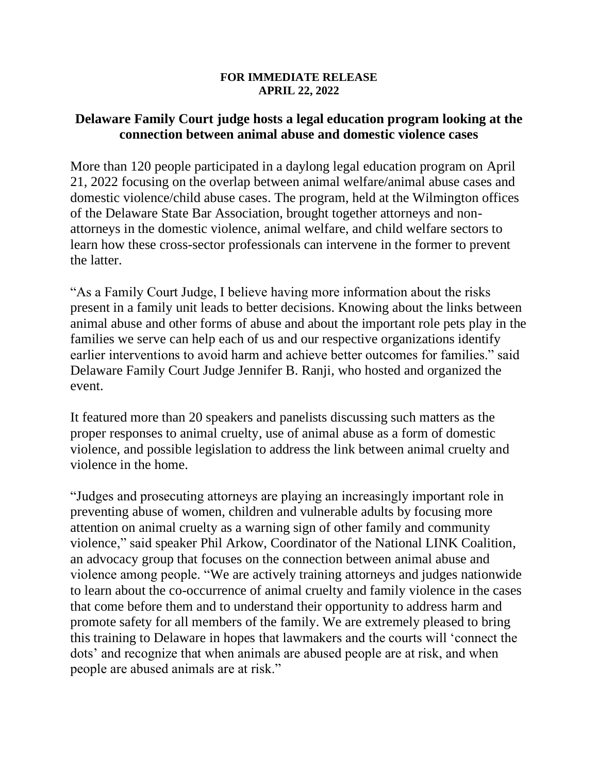## **FOR IMMEDIATE RELEASE APRIL 22, 2022**

## **Delaware Family Court judge hosts a legal education program looking at the connection between animal abuse and domestic violence cases**

More than 120 people participated in a daylong legal education program on April 21, 2022 focusing on the overlap between animal welfare/animal abuse cases and domestic violence/child abuse cases. The program, held at the Wilmington offices of the Delaware State Bar Association, brought together attorneys and nonattorneys in the domestic violence, animal welfare, and child welfare sectors to learn how these cross-sector professionals can intervene in the former to prevent the latter.

"As a Family Court Judge, I believe having more information about the risks present in a family unit leads to better decisions. Knowing about the links between animal abuse and other forms of abuse and about the important role pets play in the families we serve can help each of us and our respective organizations identify earlier interventions to avoid harm and achieve better outcomes for families." said Delaware Family Court Judge Jennifer B. Ranji, who hosted and organized the event.

It featured more than 20 speakers and panelists discussing such matters as the proper responses to animal cruelty, use of animal abuse as a form of domestic violence, and possible legislation to address the link between animal cruelty and violence in the home.

"Judges and prosecuting attorneys are playing an increasingly important role in preventing abuse of women, children and vulnerable adults by focusing more attention on animal cruelty as a warning sign of other family and community violence," said speaker Phil Arkow, Coordinator of the National LINK Coalition, an advocacy group that focuses on the connection between animal abuse and violence among people. "We are actively training attorneys and judges nationwide to learn about the co-occurrence of animal cruelty and family violence in the cases that come before them and to understand their opportunity to address harm and promote safety for all members of the family. We are extremely pleased to bring this training to Delaware in hopes that lawmakers and the courts will 'connect the dots' and recognize that when animals are abused people are at risk, and when people are abused animals are at risk."